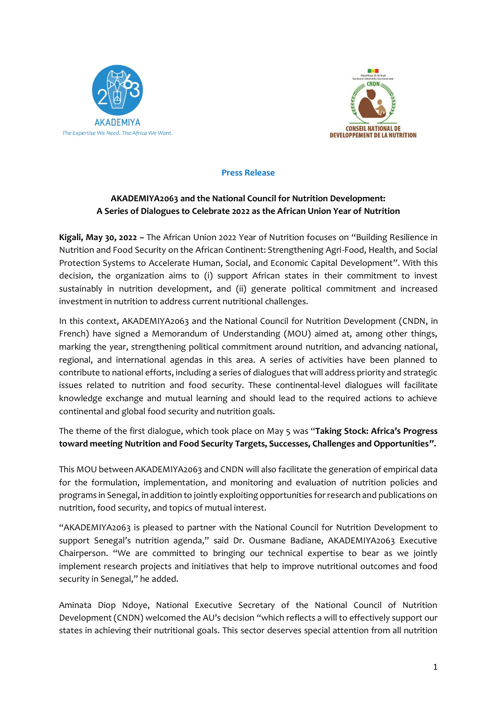



**Press Release**

## **AKADEMIYA2063 and the National Council for Nutrition Development: A Series of Dialogues to Celebrate 2022 as the African Union Year of Nutrition**

**Kigali, May 30, 2022 –** The African Union 2022 Year of Nutrition focuses on "Building Resilience in Nutrition and Food Security on the African Continent: Strengthening Agri-Food, Health, and Social Protection Systems to Accelerate Human, Social, and Economic Capital Development". With this decision, the organization aims to (i) support African states in their commitment to invest sustainably in nutrition development, and (ii) generate political commitment and increased investment in nutrition to address current nutritional challenges.

In this context, AKADEMIYA2063 and the National Council for Nutrition Development (CNDN, in French) have signed a Memorandum of Understanding (MOU) aimed at, among other things, marking the year, strengthening political commitment around nutrition, and advancing national, regional, and international agendas in this area. A series of activities have been planned to contribute to national efforts, including a series of dialogues that will address priority and strategic issues related to nutrition and food security. These continental-level dialogues will facilitate knowledge exchange and mutual learning and should lead to the required actions to achieve continental and global food security and nutrition goals.

The theme of the first dialogue, which took place on May 5 was "**Taking Stock: Africa's Progress toward meeting Nutrition and Food Security Targets, Successes, Challenges and Opportunities".**

This MOU between AKADEMIYA2063 and CNDN will also facilitate the generation of empirical data for the formulation, implementation, and monitoring and evaluation of nutrition policies and programs in Senegal, in addition to jointly exploiting opportunities for research and publications on nutrition, food security, and topics of mutual interest.

"AKADEMIYA2063 is pleased to partner with the National Council for Nutrition Development to support Senegal's nutrition agenda," said Dr. Ousmane Badiane, AKADEMIYA2063 Executive Chairperson. "We are committed to bringing our technical expertise to bear as we jointly implement research projects and initiatives that help to improve nutritional outcomes and food security in Senegal," he added.

Aminata Diop Ndoye, National Executive Secretary of the National Council of Nutrition Development (CNDN) welcomed the AU's decision "which reflects a will to effectively support our states in achieving their nutritional goals. This sector deserves special attention from all nutrition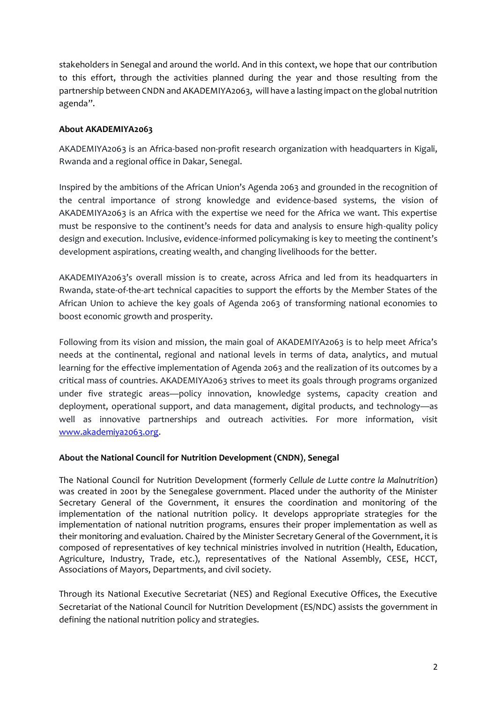stakeholders in Senegal and around the world. And in this context, we hope that our contribution to this effort, through the activities planned during the year and those resulting from the partnership between CNDN and AKADEMIYA2063, will have a lasting impact on the global nutrition agenda".

## **About AKADEMIYA2063**

AKADEMIYA2063 is an Africa-based non-profit research organization with headquarters in Kigali, Rwanda and a regional office in Dakar, Senegal.

Inspired by the ambitions of the African Union's Agenda 2063 and grounded in the recognition of the central importance of strong knowledge and evidence-based systems, the vision of AKADEMIYA2063 is an Africa with the expertise we need for the Africa we want. This expertise must be responsive to the continent's needs for data and analysis to ensure high-quality policy design and execution. Inclusive, evidence-informed policymaking is key to meeting the continent's development aspirations, creating wealth, and changing livelihoods for the better.

AKADEMIYA2063's overall mission is to create, across Africa and led from its headquarters in Rwanda, state-of-the-art technical capacities to support the efforts by the Member States of the African Union to achieve the key goals of Agenda 2063 of transforming national economies to boost economic growth and prosperity.

Following from its vision and mission, the main goal of AKADEMIYA2063 is to help meet Africa's needs at the continental, regional and national levels in terms of data, analytics, and mutual learning for the effective implementation of Agenda 2063 and the realization of its outcomes by a critical mass of countries. AKADEMIYA2063 strives to meet its goals through programs organized under five strategic areas—policy innovation, knowledge systems, capacity creation and deployment, operational support, and data management, digital products, and technology—as well as innovative partnerships and outreach activities. For more information, visit [www.akademiya2063.org.](http://www.akademiya2063.org/)

## **About the National Council for Nutrition Development (CNDN)**, **Senegal**

The National Council for Nutrition Development (formerly *Cellule de Lutte contre la Malnutrition*) was created in 2001 by the Senegalese government. Placed under the authority of the Minister Secretary General of the Government, it ensures the coordination and monitoring of the implementation of the national nutrition policy. It develops appropriate strategies for the implementation of national nutrition programs, ensures their proper implementation as well as their monitoring and evaluation. Chaired by the Minister Secretary General of the Government, it is composed of representatives of key technical ministries involved in nutrition (Health, Education, Agriculture, Industry, Trade, etc.), representatives of the National Assembly, CESE, HCCT, Associations of Mayors, Departments, and civil society.

Through its National Executive Secretariat (NES) and Regional Executive Offices, the Executive Secretariat of the National Council for Nutrition Development (ES/NDC) assists the government in defining the national nutrition policy and strategies.